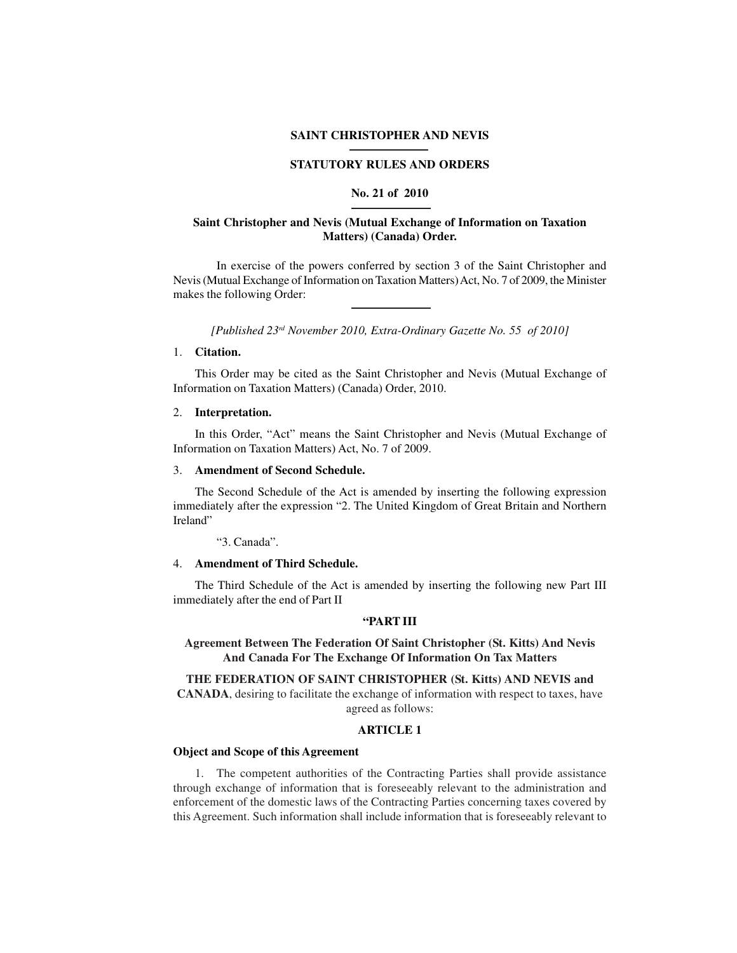### **SAINT CHRISTOPHER AND NEVIS**

## **STATUTORY RULES AND ORDERS**

### **No. 21 of 2010**

# **Saint Christopher and Nevis (Mutual Exchange of Information on Taxation Matters) (Canada) Order.**

In exercise of the powers conferred by section 3 of the Saint Christopher and Nevis (Mutual Exchange of Information on Taxation Matters) Act, No. 7 of 2009, the Minister makes the following Order:

*[Published 23rd November 2010, Extra-Ordinary Gazette No. 55 of 2010]*

#### 1. **Citation.**

This Order may be cited as the Saint Christopher and Nevis (Mutual Exchange of Information on Taxation Matters) (Canada) Order, 2010.

#### 2. **Interpretation.**

In this Order, "Act" means the Saint Christopher and Nevis (Mutual Exchange of Information on Taxation Matters) Act, No. 7 of 2009.

## 3. **Amendment of Second Schedule.**

The Second Schedule of the Act is amended by inserting the following expression immediately after the expression "2. The United Kingdom of Great Britain and Northern Ireland"

"3. Canada".

# 4. **Amendment of Third Schedule.**

The Third Schedule of the Act is amended by inserting the following new Part III immediately after the end of Part II

### **"PART III**

**Agreement Between The Federation Of Saint Christopher (St. Kitts) And Nevis And Canada For The Exchange Of Information On Tax Matters**

**THE FEDERATION OF SAINT CHRISTOPHER (St. Kitts) AND NEVIS and CANADA**, desiring to facilitate the exchange of information with respect to taxes, have agreed as follows:

#### **ARTICLE 1**

### **Object and Scope of this Agreement**

1. The competent authorities of the Contracting Parties shall provide assistance through exchange of information that is foreseeably relevant to the administration and enforcement of the domestic laws of the Contracting Parties concerning taxes covered by this Agreement. Such information shall include information that is foreseeably relevant to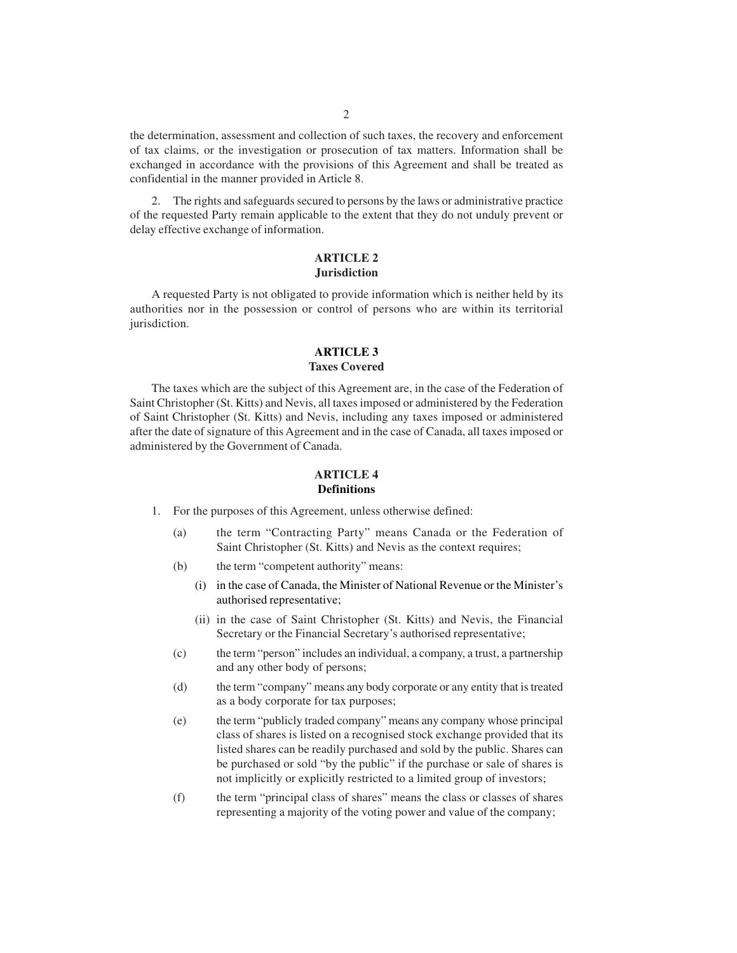the determination, assessment and collection of such taxes, the recovery and enforcement of tax claims, or the investigation or prosecution of tax matters. Information shall be exchanged in accordance with the provisions of this Agreement and shall be treated as confidential in the manner provided in Article 8.

2. The rights and safeguards secured to persons by the laws or administrative practice of the requested Party remain applicable to the extent that they do not unduly prevent or delay effective exchange of information.

# **ARTICLE 2 Jurisdiction**

A requested Party is not obligated to provide information which is neither held by its authorities nor in the possession or control of persons who are within its territorial jurisdiction.

# **ARTICLE 3 Taxes Covered**

The taxes which are the subject of this Agreement are, in the case of the Federation of Saint Christopher (St. Kitts) and Nevis, all taxes imposed or administered by the Federation of Saint Christopher (St. Kitts) and Nevis, including any taxes imposed or administered after the date of signature of this Agreement and in the case of Canada, all taxes imposed or administered by the Government of Canada.

### **ARTICLE 4 Definitions**

- 1. For the purposes of this Agreement, unless otherwise defined:
	- (a) the term "Contracting Party" means Canada or the Federation of Saint Christopher (St. Kitts) and Nevis as the context requires;
	- (b) the term "competent authority" means:
		- (i) in the case of Canada, the Minister of National Revenue or the Minister's authorised representative;
		- (ii) in the case of Saint Christopher (St. Kitts) and Nevis, the Financial Secretary or the Financial Secretary's authorised representative;
	- (c) the term "person" includes an individual, a company, a trust, a partnership and any other body of persons;
	- (d) the term "company" means any body corporate or any entity that is treated as a body corporate for tax purposes;
	- (e) the term "publicly traded company" means any company whose principal class of shares is listed on a recognised stock exchange provided that its listed shares can be readily purchased and sold by the public. Shares can be purchased or sold "by the public" if the purchase or sale of shares is not implicitly or explicitly restricted to a limited group of investors;
	- (f) the term "principal class of shares" means the class or classes of shares representing a majority of the voting power and value of the company;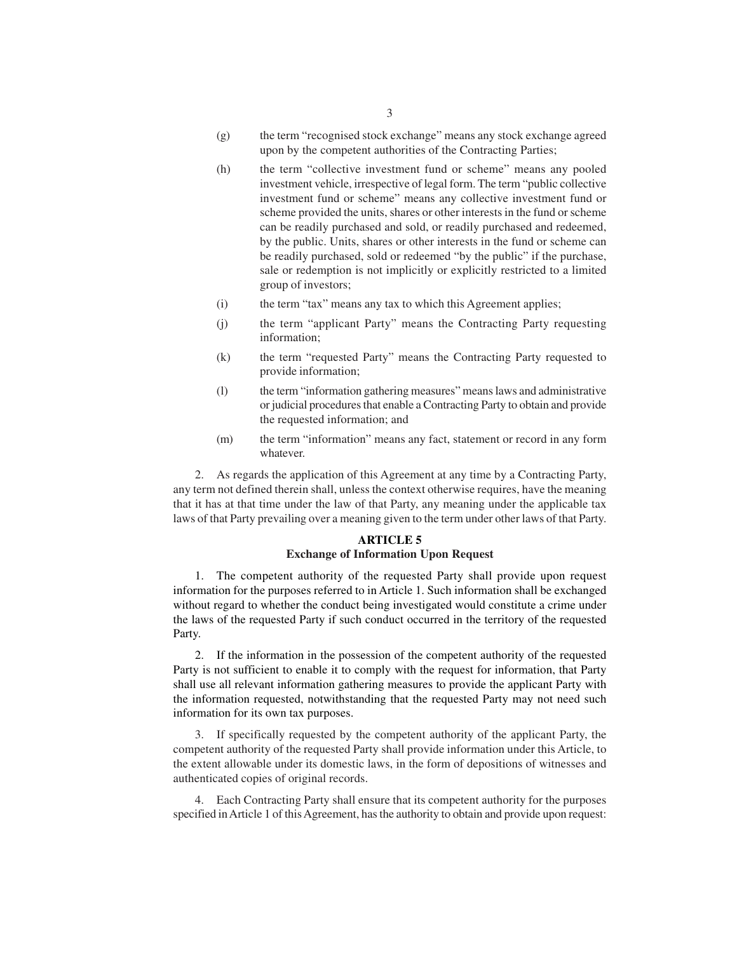- (g) the term "recognised stock exchange" means any stock exchange agreed upon by the competent authorities of the Contracting Parties;
- (h) the term "collective investment fund or scheme" means any pooled investment vehicle, irrespective of legal form. The term "public collective investment fund or scheme" means any collective investment fund or scheme provided the units, shares or other interests in the fund or scheme can be readily purchased and sold, or readily purchased and redeemed, by the public. Units, shares or other interests in the fund or scheme can be readily purchased, sold or redeemed "by the public" if the purchase, sale or redemption is not implicitly or explicitly restricted to a limited group of investors;
- (i) the term "tax" means any tax to which this Agreement applies;
- (j) the term "applicant Party" means the Contracting Party requesting information;
- (k) the term "requested Party" means the Contracting Party requested to provide information;
- (l) the term "information gathering measures" means laws and administrative or judicial procedures that enable a Contracting Party to obtain and provide the requested information; and
- (m) the term "information" means any fact, statement or record in any form whatever.

2. As regards the application of this Agreement at any time by a Contracting Party, any term not defined therein shall, unless the context otherwise requires, have the meaning that it has at that time under the law of that Party, any meaning under the applicable tax laws of that Party prevailing over a meaning given to the term under other laws of that Party.

# **ARTICLE 5 Exchange of Information Upon Request**

1. The competent authority of the requested Party shall provide upon request information for the purposes referred to in Article 1. Such information shall be exchanged without regard to whether the conduct being investigated would constitute a crime under the laws of the requested Party if such conduct occurred in the territory of the requested Party.

2. If the information in the possession of the competent authority of the requested Party is not sufficient to enable it to comply with the request for information, that Party shall use all relevant information gathering measures to provide the applicant Party with the information requested, notwithstanding that the requested Party may not need such information for its own tax purposes.

3. If specifically requested by the competent authority of the applicant Party, the competent authority of the requested Party shall provide information under this Article, to the extent allowable under its domestic laws, in the form of depositions of witnesses and authenticated copies of original records.

4. Each Contracting Party shall ensure that its competent authority for the purposes specified in Article 1 of this Agreement, has the authority to obtain and provide upon request: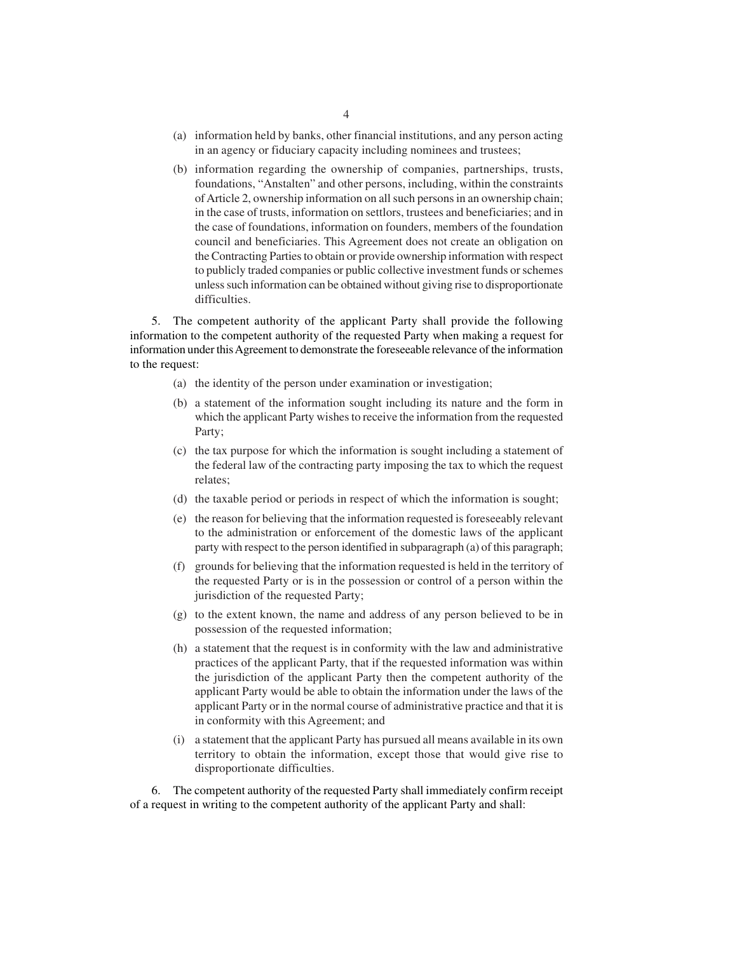- (a) information held by banks, other financial institutions, and any person acting in an agency or fiduciary capacity including nominees and trustees;
- (b) information regarding the ownership of companies, partnerships, trusts, foundations, "Anstalten" and other persons, including, within the constraints of Article 2, ownership information on all such persons in an ownership chain; in the case of trusts, information on settlors, trustees and beneficiaries; and in the case of foundations, information on founders, members of the foundation council and beneficiaries. This Agreement does not create an obligation on the Contracting Parties to obtain or provide ownership information with respect to publicly traded companies or public collective investment funds or schemes unless such information can be obtained without giving rise to disproportionate difficulties.

5. The competent authority of the applicant Party shall provide the following information to the competent authority of the requested Party when making a request for information under this Agreement to demonstrate the foreseeable relevance of the information to the request:

- (a) the identity of the person under examination or investigation;
- (b) a statement of the information sought including its nature and the form in which the applicant Party wishes to receive the information from the requested Party;
- (c) the tax purpose for which the information is sought including a statement of the federal law of the contracting party imposing the tax to which the request relates;
- (d) the taxable period or periods in respect of which the information is sought;
- (e) the reason for believing that the information requested is foreseeably relevant to the administration or enforcement of the domestic laws of the applicant party with respect to the person identified in subparagraph (a) of this paragraph;
- (f) grounds for believing that the information requested is held in the territory of the requested Party or is in the possession or control of a person within the jurisdiction of the requested Party;
- (g) to the extent known, the name and address of any person believed to be in possession of the requested information;
- (h) a statement that the request is in conformity with the law and administrative practices of the applicant Party, that if the requested information was within the jurisdiction of the applicant Party then the competent authority of the applicant Party would be able to obtain the information under the laws of the applicant Party or in the normal course of administrative practice and that it is in conformity with this Agreement; and
- (i) a statement that the applicant Party has pursued all means available in its own territory to obtain the information, except those that would give rise to disproportionate difficulties.

6. The competent authority of the requested Party shall immediately confirm receipt of a request in writing to the competent authority of the applicant Party and shall: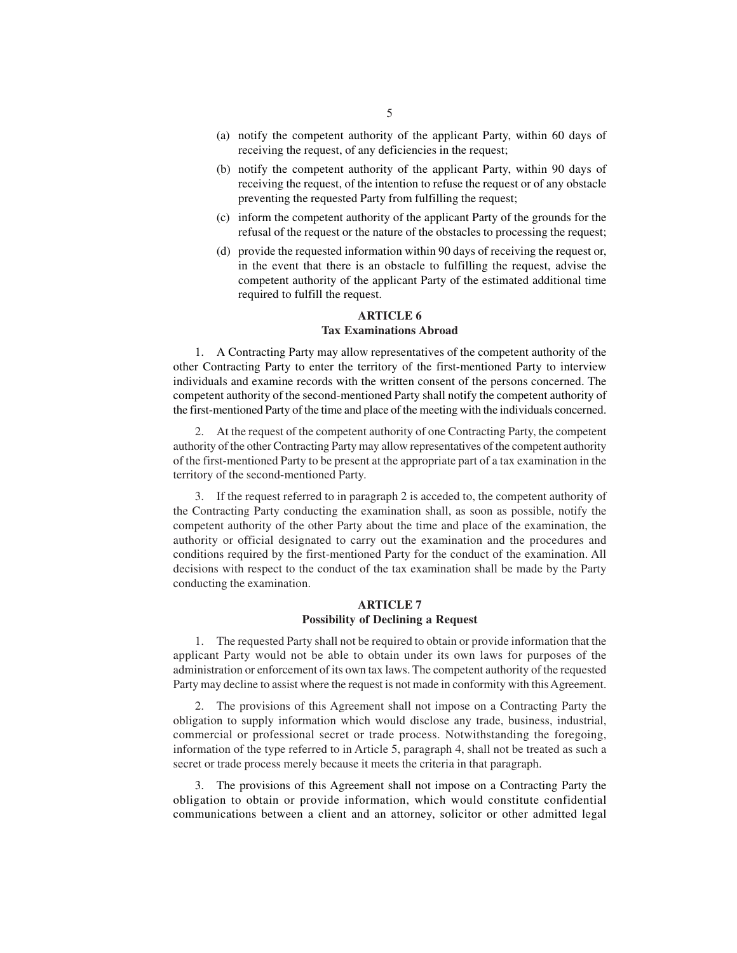- (a) notify the competent authority of the applicant Party, within 60 days of receiving the request, of any deficiencies in the request;
- (b) notify the competent authority of the applicant Party, within 90 days of receiving the request, of the intention to refuse the request or of any obstacle preventing the requested Party from fulfilling the request;
- (c) inform the competent authority of the applicant Party of the grounds for the refusal of the request or the nature of the obstacles to processing the request;
- (d) provide the requested information within 90 days of receiving the request or, in the event that there is an obstacle to fulfilling the request, advise the competent authority of the applicant Party of the estimated additional time required to fulfill the request.

## **ARTICLE 6 Tax Examinations Abroad**

1. A Contracting Party may allow representatives of the competent authority of the other Contracting Party to enter the territory of the first-mentioned Party to interview individuals and examine records with the written consent of the persons concerned. The competent authority of the second-mentioned Party shall notify the competent authority of the first-mentioned Party of the time and place of the meeting with the individuals concerned.

2. At the request of the competent authority of one Contracting Party, the competent authority of the other Contracting Party may allow representatives of the competent authority of the first-mentioned Party to be present at the appropriate part of a tax examination in the territory of the second-mentioned Party.

3. If the request referred to in paragraph 2 is acceded to, the competent authority of the Contracting Party conducting the examination shall, as soon as possible, notify the competent authority of the other Party about the time and place of the examination, the authority or official designated to carry out the examination and the procedures and conditions required by the first-mentioned Party for the conduct of the examination. All decisions with respect to the conduct of the tax examination shall be made by the Party conducting the examination.

### **ARTICLE 7 Possibility of Declining a Request**

1. The requested Party shall not be required to obtain or provide information that the applicant Party would not be able to obtain under its own laws for purposes of the administration or enforcement of its own tax laws. The competent authority of the requested Party may decline to assist where the request is not made in conformity with this Agreement.

2. The provisions of this Agreement shall not impose on a Contracting Party the obligation to supply information which would disclose any trade, business, industrial, commercial or professional secret or trade process. Notwithstanding the foregoing, information of the type referred to in Article 5, paragraph 4, shall not be treated as such a secret or trade process merely because it meets the criteria in that paragraph.

3. The provisions of this Agreement shall not impose on a Contracting Party the obligation to obtain or provide information, which would constitute confidential communications between a client and an attorney, solicitor or other admitted legal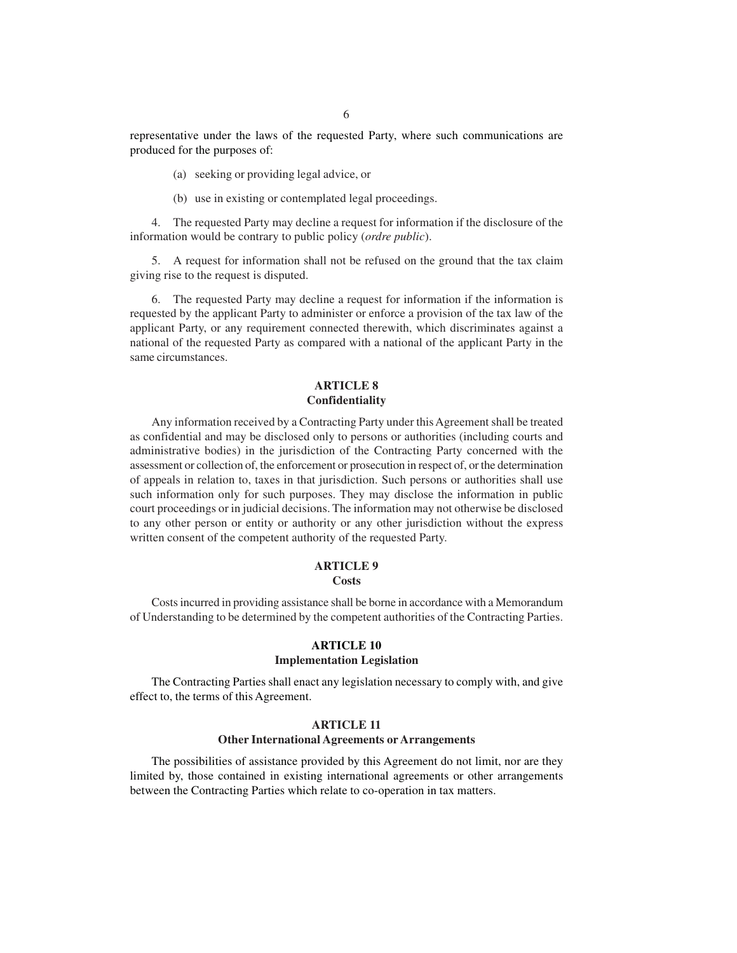representative under the laws of the requested Party, where such communications are produced for the purposes of:

- (a) seeking or providing legal advice, or
- (b) use in existing or contemplated legal proceedings.

4. The requested Party may decline a request for information if the disclosure of the information would be contrary to public policy (*ordre public*).

5. A request for information shall not be refused on the ground that the tax claim giving rise to the request is disputed.

6. The requested Party may decline a request for information if the information is requested by the applicant Party to administer or enforce a provision of the tax law of the applicant Party, or any requirement connected therewith, which discriminates against a national of the requested Party as compared with a national of the applicant Party in the same circumstances.

# **ARTICLE 8 Confidentiality**

Any information received by a Contracting Party under this Agreement shall be treated as confidential and may be disclosed only to persons or authorities (including courts and administrative bodies) in the jurisdiction of the Contracting Party concerned with the assessment or collection of, the enforcement or prosecution in respect of, or the determination of appeals in relation to, taxes in that jurisdiction. Such persons or authorities shall use such information only for such purposes. They may disclose the information in public court proceedings or in judicial decisions. The information may not otherwise be disclosed to any other person or entity or authority or any other jurisdiction without the express written consent of the competent authority of the requested Party.

#### **ARTICLE 9 Costs**

Costs incurred in providing assistance shall be borne in accordance with a Memorandum of Understanding to be determined by the competent authorities of the Contracting Parties.

# **ARTICLE 10**

# **Implementation Legislation**

The Contracting Parties shall enact any legislation necessary to comply with, and give effect to, the terms of this Agreement.

### **ARTICLE 11**

#### **Other International Agreements or Arrangements**

The possibilities of assistance provided by this Agreement do not limit, nor are they limited by, those contained in existing international agreements or other arrangements between the Contracting Parties which relate to co-operation in tax matters.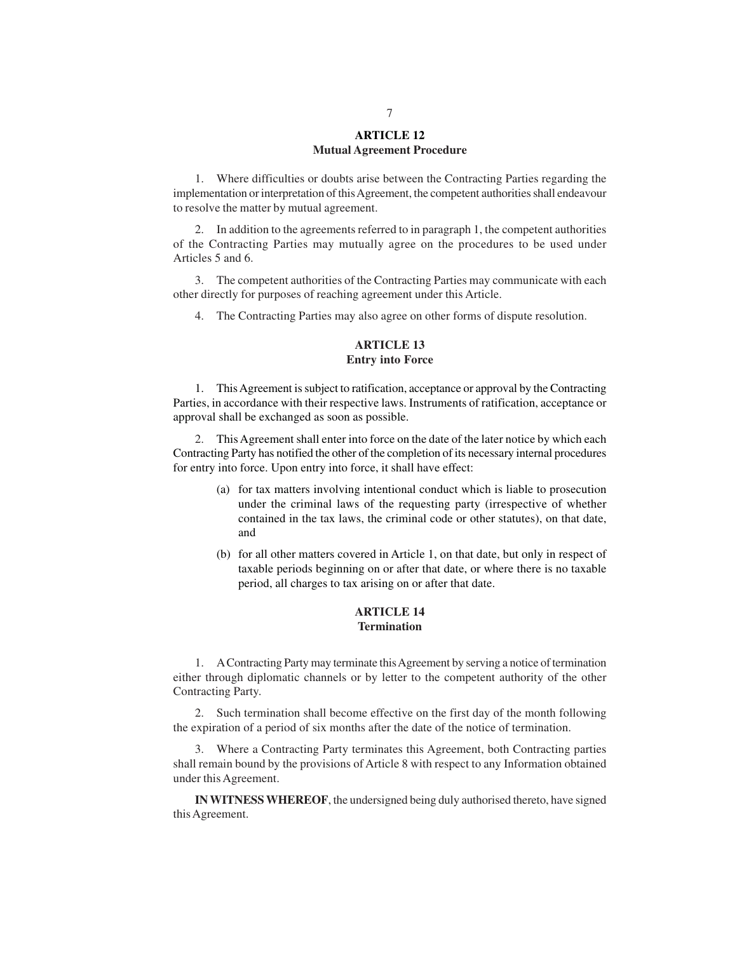# **ARTICLE 12 Mutual Agreement Procedure**

1. Where difficulties or doubts arise between the Contracting Parties regarding the implementation or interpretation of this Agreement, the competent authorities shall endeavour to resolve the matter by mutual agreement.

2. In addition to the agreements referred to in paragraph 1, the competent authorities of the Contracting Parties may mutually agree on the procedures to be used under Articles 5 and 6.

3. The competent authorities of the Contracting Parties may communicate with each other directly for purposes of reaching agreement under this Article.

4. The Contracting Parties may also agree on other forms of dispute resolution.

### **ARTICLE 13 Entry into Force**

1. This Agreement is subject to ratification, acceptance or approval by the Contracting Parties, in accordance with their respective laws. Instruments of ratification, acceptance or approval shall be exchanged as soon as possible.

2. This Agreement shall enter into force on the date of the later notice by which each Contracting Party has notified the other of the completion of its necessary internal procedures for entry into force. Upon entry into force, it shall have effect:

- (a) for tax matters involving intentional conduct which is liable to prosecution under the criminal laws of the requesting party (irrespective of whether contained in the tax laws, the criminal code or other statutes), on that date, and
- (b) for all other matters covered in Article 1, on that date, but only in respect of taxable periods beginning on or after that date, or where there is no taxable period, all charges to tax arising on or after that date.

### **ARTICLE 14 Termination**

1. A Contracting Party may terminate this Agreement by serving a notice of termination either through diplomatic channels or by letter to the competent authority of the other Contracting Party.

2. Such termination shall become effective on the first day of the month following the expiration of a period of six months after the date of the notice of termination.

3. Where a Contracting Party terminates this Agreement, both Contracting parties shall remain bound by the provisions of Article 8 with respect to any Information obtained under this Agreement.

**IN WITNESS WHEREOF**, the undersigned being duly authorised thereto, have signed this Agreement.